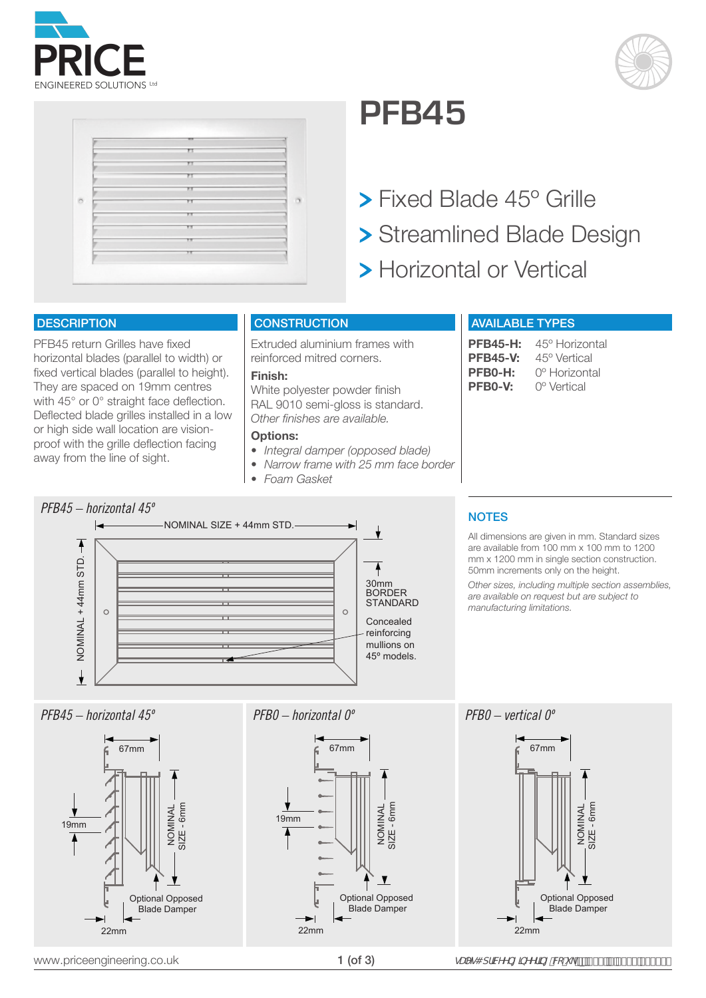





## **PFB45**

**> Fixed Blade 45° Grille** > Streamlined Blade Design > Horizontal or Vertical

### **DESCRIPTION**

PFB45 return Grilles have fixed horizontal blades (parallel to width) or fixed vertical blades (parallel to height). They are spaced on 19mm centres with 45° or 0° straight face deflection. Deflected blade grilles installed in a low or high side wall location are visionproof with the grille deflection facing away from the line of sight.

### **CONSTRUCTION**

Extruded aluminium frames with reinforced mitred corners.

### **Finish:**

White polyester powder finish RAL 9010 semi-gloss is standard. *Other finishes are available.*

### **Options:**

- *• Integral damper (opposed blade)*
- *• Narrow frame with 25 mm face border*
- *• Foam Gasket*

### AVAILABLE TYPES

PFB45-H: 45° Horizontal<br>PFB45-V: 45° Vertical **PFB45-V:** 45° Vertical<br>**PFB0-H:** 0° Horizonta **PFB0-H:** 0<sup>°</sup> Horizontal<br>**PFB0-V:** 0<sup>°</sup> Vertical **PFB0-V:** 0º Vertical



## **NOTES**

All dimensions are given in mm. Standard sizes are available from 100 mm x 100 mm to 1200 mm x 1200 mm in single section construction. 50mm increments only on the height.

*Other sizes, including multiple section assemblies, are available on request but are subject to manufacturing limitations.*

### *PFB45 – horizontal 45º PFB0 – horizontal 0º PFB0 – vertical 0º*







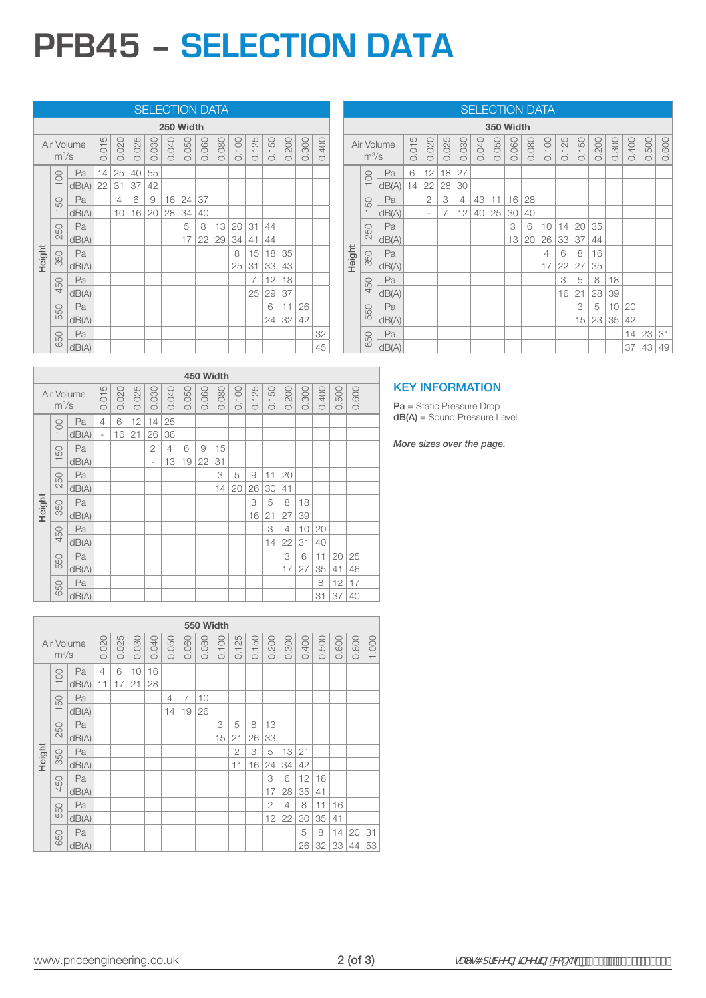# **PFB45 – SELECTION DATA**

### SELECTION DATA

|        | 250 Width |            |       |       |       |       |       |       |       |       |       |       |       |       |       |       |
|--------|-----------|------------|-------|-------|-------|-------|-------|-------|-------|-------|-------|-------|-------|-------|-------|-------|
|        | $m^3/s$   | Air Volume | 0.015 | 0.020 | 0.025 | 0.030 | 0.040 | 0.050 | 0.060 | 0.080 | 0.100 | 0.125 | 0.150 | 0.200 | 0.300 | 0.400 |
|        | 100       | Pa         | 14    | 25    | 40    | 55    |       |       |       |       |       |       |       |       |       |       |
|        |           | dB(A)      | 22    | 31    | 37    | 42    |       |       |       |       |       |       |       |       |       |       |
|        | 150       | Pa         |       | 4     | 6     | 9     | 16    | 24    | 37    |       |       |       |       |       |       |       |
|        |           | dB(A)      |       | 10    | 16    | 20    | 28    | 34    | 40    |       |       |       |       |       |       |       |
|        | 250       | Pa         |       |       |       |       |       | 5     | 8     | 13    | 20    | 31    | 44    |       |       |       |
|        |           | dB(A)      |       |       |       |       |       | 17    | 22    | 29    | 34    | 41    | 44    |       |       |       |
| Height | 350       | Pa         |       |       |       |       |       |       |       |       | 8     | 15    | 18    | 35    |       |       |
|        |           | dB(A)      |       |       |       |       |       |       |       |       | 25    | 31    | 33    | 43    |       |       |
|        | 450       | Pa         |       |       |       |       |       |       |       |       |       | 7     | 12    | 18    |       |       |
|        |           | dB(A)      |       |       |       |       |       |       |       |       |       | 25    | 29    | 37    |       |       |
|        | 550       | Pa         |       |       |       |       |       |       |       |       |       |       | 6     | 11    | 26    |       |
|        |           | dB(A)      |       |       |       |       |       |       |       |       |       |       | 24    | 32    | 42    |       |
|        | 650       | Pa         |       |       |       |       |       |       |       |       |       |       |       |       |       | 32    |
|        |           | dB(A)      |       |       |       |       |       |       |       |       |       |       |       |       |       | 45    |

|        | <u>ULLLUTIVIN DAIA</u> |            |       |                          |                |       |       |       |       |       |       |       |       |       |       |       |       |       |
|--------|------------------------|------------|-------|--------------------------|----------------|-------|-------|-------|-------|-------|-------|-------|-------|-------|-------|-------|-------|-------|
|        | 350 Width              |            |       |                          |                |       |       |       |       |       |       |       |       |       |       |       |       |       |
|        | $m^3$ /s               | Air Volume | 0.015 | 0.020                    | 0.025          | 0.030 | 0.040 | 0.050 | 0.060 | 0.080 | 0.100 | 0.125 | 0.150 | 0.200 | 0.300 | 0.400 | 0.500 | 0.600 |
|        | 100                    | Pa         | 6     | 12                       | 18             | 27    |       |       |       |       |       |       |       |       |       |       |       |       |
|        |                        | dB(A)      | 14    | 22                       | 28             | 30    |       |       |       |       |       |       |       |       |       |       |       |       |
| 150    |                        | Pa         |       | $\overline{2}$           | 3              | 4     | 43    | 11    | 16    | 28    |       |       |       |       |       |       |       |       |
|        |                        | dB(A)      |       | $\overline{\phantom{a}}$ | $\overline{7}$ | 12    | 40    | 25    | 30    | 40    |       |       |       |       |       |       |       |       |
|        | 250                    | Pa         |       |                          |                |       |       |       | 3     | 6     | 10    | 14    | 20    | 35    |       |       |       |       |
|        |                        | dB(A)      |       |                          |                |       |       |       | 13    | 20    | 26    | 33    | 37    | 44    |       |       |       |       |
| Height | 350                    | Pa         |       |                          |                |       |       |       |       |       | 4     | 6     | 8     | 16    |       |       |       |       |
|        |                        | dB(A)      |       |                          |                |       |       |       |       |       | 17    | 22    | 27    | 35    |       |       |       |       |
|        | 450                    | Pa         |       |                          |                |       |       |       |       |       |       | 3     | 5     | 8     | 18    |       |       |       |
|        |                        | dB(A)      |       |                          |                |       |       |       |       |       |       | 16    | 21    | 28    | 39    |       |       |       |
|        | 550                    | Pa         |       |                          |                |       |       |       |       |       |       |       | 3     | 5     | 10    | 20    |       |       |
|        |                        | dB(A)      |       |                          |                |       |       |       |       |       |       |       | 15    | 23    | 35    | 42    |       |       |
|        | 650                    | Pa         |       |                          |                |       |       |       |       |       |       |       |       |       |       | 14    | 23    | 31    |
|        |                        | dB(A)      |       |                          |                |       |       |       |       |       |       |       |       |       |       | 37    | 43    | 49    |

SELECTION DATA

|         |         |            |       |       |       |       |       |       | 450 Width |       |       |       |       |                |       |       |       |       |  |
|---------|---------|------------|-------|-------|-------|-------|-------|-------|-----------|-------|-------|-------|-------|----------------|-------|-------|-------|-------|--|
|         | $m^3/s$ | Air Volume | 0.015 | 0.020 | 0.025 | 0.030 | 0.040 | 0.050 | 0.060     | 0.080 | 0.100 | 0.125 | 0.150 | 0.200          | 0.300 | 0.400 | 0.500 | 0.600 |  |
|         | 100     | Pa         | 4     | 6     | 12    | 14    | 25    |       |           |       |       |       |       |                |       |       |       |       |  |
| 50<br>÷ |         | dB(A)      | ٠     | 16    | 21    | 26    | 36    |       |           |       |       |       |       |                |       |       |       |       |  |
|         |         | Pa         |       |       |       | 2     | 4     | 6     | 9         | 15    |       |       |       |                |       |       |       |       |  |
|         |         | dB(A)      |       |       |       | ٠     | 13    | 19    | 22        | 31    |       |       |       |                |       |       |       |       |  |
|         | 250     | Pa         |       |       |       |       |       |       |           | 3     | 5     | 9     | 11    | 20             |       |       |       |       |  |
|         |         | dB(A)      |       |       |       |       |       |       |           | 14    | 20    | 26    | 30    | 41             |       |       |       |       |  |
|         | 350     | Pa         |       |       |       |       |       |       |           |       |       | 3     | 5     | 8              | 18    |       |       |       |  |
| Height  |         | dB(A)      |       |       |       |       |       |       |           |       |       | 16    | 21    | 27             | 39    |       |       |       |  |
|         | 450     | Pa         |       |       |       |       |       |       |           |       |       |       | 3     | $\overline{4}$ | 10    | 20    |       |       |  |
|         |         | dB(A)      |       |       |       |       |       |       |           |       |       |       | 14    | 22             | 31    | 40    |       |       |  |
|         | 550     | Pa         |       |       |       |       |       |       |           |       |       |       |       | 3              | 6     | 11    | 20    | 25    |  |
|         |         | dB(A)      |       |       |       |       |       |       |           |       |       |       |       | 17             | 27    | 35    | 41    | 46    |  |
|         | 650     | Pa         |       |       |       |       |       |       |           |       |       |       |       |                |       | 8     | 12    | 17    |  |
|         |         | dB(A)      |       |       |       |       |       |       |           |       |       |       |       |                |       | 31    | 37    | 40    |  |

### **550 Width** Air Volume m3 /s 0.020 0.025 0.030 0.040 0.050 0.060 0.080 0.100 0.125 0.150 0.200 0.300 0.400 0.500 0.600 0.800 1.000 Height 100 Pa 4 6 10 16<br>dB(A) 11 17 21 28 dB(A) 11 17 21 28 150 Pa 4 7 10 dB(A) 14 19 26 250 Pa 3 5 8 13 dB(A) 15 21 26 33 350 Pa 2 3 5 13 21 dB(A) 11 16 24 34 42 450 Pa 3 6 12 18 dB(A) | | | | | | | | | | | | | 17 | 28 | 35 | 41 550 Pa | | | | | | | | | | | | | 2 | 4 | 8 | 11 | 16 dB(A) 12 22 30 35 41 650 Pa 3 8 14 20 31 dB(A) 26 32 33 44 53

### KEY INFORMATION

Pa = Static Pressure Drop dB(A) = Sound Pressure Level

*More sizes over the page.*